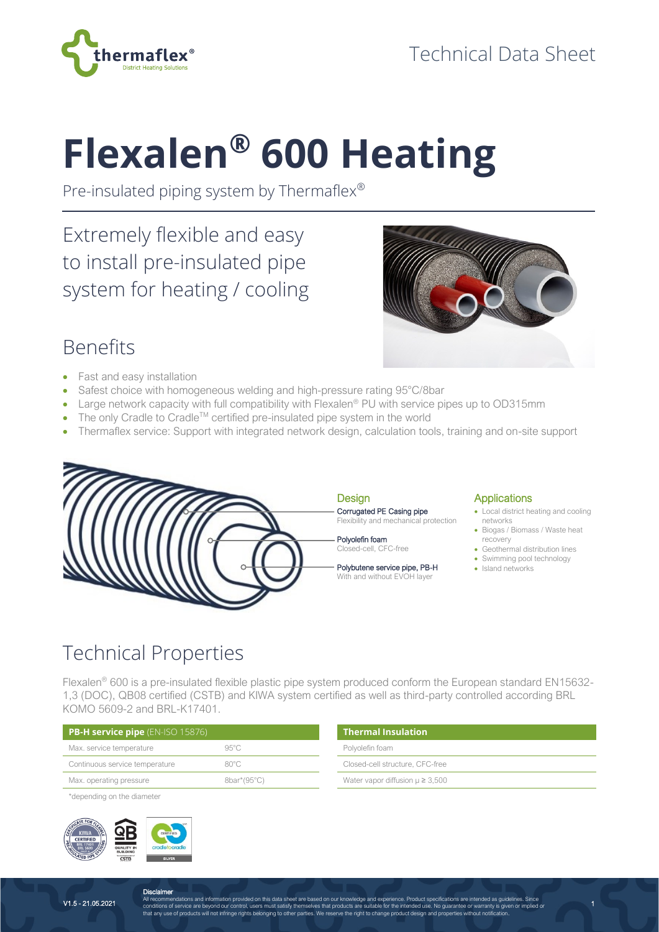

# **Flexalen® 600 Heating**

Pre-insulated piping system by Thermaflex®

Extremely flexible and easy to install pre-insulated pipe system for heating / cooling



### Benefits

- Fast and easy installation
- Safest choice with homogeneous welding and high-pressure rating 95°C/8bar
- Large network capacity with full compatibility with Flexalen<sup>®</sup> PU with service pipes up to OD315mm
- The only Cradle to Cradle<sup>TM</sup> certified pre-insulated pipe system in the world
- Thermaflex service: Support with integrated network design, calculation tools, training and on-site support



#### Design Corrugated PE Casing pipe Flexibility and mechanical protection

Polyolefin foam Closed-cell, CFC-free

Polybutene service pipe, PB-H With and without EVOH layer

### **Applications**

• Local district heating and cooling networks

1

- Biogas / Biomass / Waste heat recovery
- Geothermal distribution lines
- Swimming pool technology
- Island networks

## Technical Properties

Flexalen® 600 is a pre-insulated flexible plastic pipe system produced conform the European standard EN15632- 1,3 (DOC), QB08 certified (CSTB) and KIWA system certified as well as third-party controlled according BRL KOMO 5609-2 and BRL-K17401.

| <b>PB-H service pipe</b> (EN-ISO 15876) |                | $\blacksquare$ Thermal Insulation      |  |  |  |  |  |
|-----------------------------------------|----------------|----------------------------------------|--|--|--|--|--|
| Max. service temperature                | $95^{\circ}$ C | Polvolefin foam                        |  |  |  |  |  |
| Continuous service temperature          | $80^{\circ}$ C | Closed-cell structure, CFC-free        |  |  |  |  |  |
| Max. operating pressure                 | 8bar*(95°C)    | Water vapor diffusion $\mu \geq 3,500$ |  |  |  |  |  |

\*depending on the diameter



V1.5 - 21.05.2021

**Disclaimer** All recommendations and information provided on this data sheet are based on our knowledge and experience. Product specifications are intended as guidelines. Since<br>conditions of service are beyond our control, users must s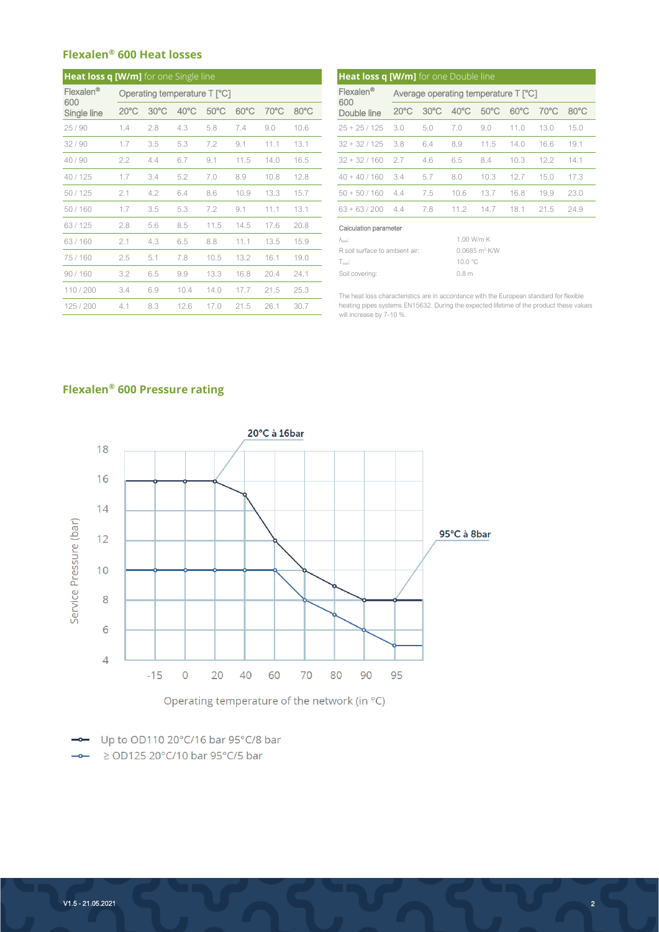#### **Flexalen® 600 Heat losses**

| Heat loss q [W/m] for one Single line |                |                |                              |                |                |      | Heat loss q [W/m] for one Double line |                                                                                                                                                                                 |                                      |                |                |                |                |                |            |  |
|---------------------------------------|----------------|----------------|------------------------------|----------------|----------------|------|---------------------------------------|---------------------------------------------------------------------------------------------------------------------------------------------------------------------------------|--------------------------------------|----------------|----------------|----------------|----------------|----------------|------------|--|
| Flexalen <sup>®</sup>                 |                |                | Operating temperature T [°C] |                |                |      |                                       | Flexalen <sup>®</sup>                                                                                                                                                           | Average operating temperature T [°C] |                |                |                |                |                |            |  |
| 600<br>Single line                    | $20^{\circ}$ C | $30^{\circ}$ C | $40^{\circ}$ C               | $50^{\circ}$ C | $60^{\circ}$ C | 70°C | $80^{\circ}$ C                        | 600<br>Double line                                                                                                                                                              | $20^{\circ}$ C                       | $30^{\circ}$ C | $40^{\circ}$ C | $50^{\circ}$ C | $60^{\circ}$ C | $70^{\circ}$ C | $80^\circ$ |  |
| 25/90                                 | 1.4            | 2.8            | 4.3                          | 5.8            | 7.4            | 9.0  | 10.6                                  | $25 + 25 / 125$                                                                                                                                                                 | 3.0                                  | 5.0            | 7.0            | 9.0            | 11.0           | 13.0           | 15.0       |  |
| 32/90                                 | 1.7            | 3.5            | 5.3                          | 7.2            | 9.1            | 11.1 | 13.1                                  | $32 + 32 / 125$                                                                                                                                                                 | 3.8                                  | 6.4            | 8.9            | 11.5           | 14.0           | 16.6           | 19.1       |  |
| 40/90                                 | 2.2            | 4.4            | 6.7                          | 9.1            | 11.5           | 14.0 | 16.5                                  | $32 + 32 / 160$                                                                                                                                                                 | 2.7                                  | 4.6            | 6.5            | 8.4            | 10.3           | 12.2           | 14.1       |  |
| 40 / 125                              | 1.7            | 3.4            | 5.2                          | 7.0            | 8.9            | 10.8 | 12.8                                  | $40 + 40 / 160$                                                                                                                                                                 | 3.4                                  | 5.7            | 8.0            | 10.3           | 12.7           | 15.0           | 17.3       |  |
| 50/125                                | 2.1            | 4.2            | 6.4                          | 8.6            | 10.9           | 13.3 | 15.7                                  | $50 + 50 / 160$                                                                                                                                                                 | 4.4                                  | 7.5            | 10.6           | 13.7           | 16.8           | 19.9           | 23.0       |  |
| 50/160                                | 1.7            | 3.5            | 5.3                          | 7.2            | 9.1            | 11.1 | 13.1                                  | $63 + 63 / 200$                                                                                                                                                                 | 4.4                                  | 7.8            | 11.2           | 14.7           | 18.1           | 21.5           | 24.9       |  |
| 63/125                                | 2.8            | 5.6            | 8.5                          | 11.5           | 14.5           | 17.6 | 20.8                                  | Calculation parameter                                                                                                                                                           |                                      |                |                |                |                |                |            |  |
| 63/160                                | 2.1            | 4.3            | 6.5                          | 8.8            | 11.1           | 13.5 | 15.9                                  | 1.00 W/m·K<br>$\lambda_{\rm soil}$ :<br>0.0685 m <sup>2</sup> K/W<br>R soil surface to ambient air:<br>10.0 °C<br>$Tsoil$ :                                                     |                                      |                |                |                |                |                |            |  |
| 75/160                                | 2.5            | 5.1            | 7.8                          | 10.5           | 13.2           | 16.1 | 19.0                                  |                                                                                                                                                                                 |                                      |                |                |                |                |                |            |  |
| 90/160                                | 3.2            | 6.5            | 9.9                          | 13.3           | 16.8           | 20.4 | 24.1                                  | 0.8 <sub>m</sub><br>Soil covering:                                                                                                                                              |                                      |                |                |                |                |                |            |  |
| 110/200                               | 3.4            | 6.9            | 10.4                         | 14.0           | 17.7           | 21.5 | 25.3                                  |                                                                                                                                                                                 |                                      |                |                |                |                |                |            |  |
| 125 / 200                             | 4.1            | 8.3            | 12.6                         | 17.0           | 21.5           | 26.1 | 30.7                                  | The heat loss characteristics are in accordance with the European standard for flexible<br>heating pipes systems EN15632. During the expected lifetime of the product these val |                                      |                |                |                |                |                |            |  |

| <b>W/m]</b> for one Single line |                              |                |                |                |                | Heat loss q [W/m] for one Double line |                                      |                |                |                |                |                |                |                |
|---------------------------------|------------------------------|----------------|----------------|----------------|----------------|---------------------------------------|--------------------------------------|----------------|----------------|----------------|----------------|----------------|----------------|----------------|
|                                 | Operating temperature T [°C] |                |                |                |                | Flexalen <sup>®</sup>                 | Average operating temperature T [°C] |                |                |                |                |                |                |                |
| 20°C.                           | $30^{\circ}$ C               | $40^{\circ}$ C | $50^{\circ}$ C | $60^{\circ}$ C | $70^{\circ}$ C | $80^{\circ}$ C                        | 600<br>Double line                   | $20^{\circ}$ C | $30^{\circ}$ C | $40^{\circ}$ C | $50^{\circ}$ C | $60^{\circ}$ C | $70^{\circ}$ C | $80^{\circ}$ C |
| 1.4                             | 2.8                          | 4.3            | 5.8            | 7.4            | 9.0            | 10.6                                  | $25 + 25 / 125$                      | 3.0            | 5.0            | 7.0            | 9.0            | 11.0           | 13.0           | 15.0           |
| 1.7                             | 3.5                          | 5.3            | 7.2            | 9.1            | 11.1           | 13.1                                  | $32 + 32 / 125$                      | 3.8            | 6.4            | 8.9            | 11.5           | 14.0           | 16.6           | 19.1           |
| 2.2                             | 4.4                          | 6.7            | 9.1            | 11.5           | 14.0           | 16.5                                  | $32 + 32 / 160$                      | 2.7            | 4.6            | 6.5            | 8.4            | 10.3           | 12.2           |                |
| 1.7                             | 3.4                          | 5.2            | 7.0            | 8.9            | 10.8           | 12.8                                  | $40 + 40 / 160$                      | 3.4            | 5.7            | 8.0            | 10.3           | 12.7           | 15.0           | 17.3           |
| 2.1                             | 4.2                          | 6.4            | 8.6            | 10.9           | 13.3           | 15.7                                  | $50 + 50 / 160$                      | 4.4            | 7.5            | 10.6           | 13.7           | 16.8           | 19.9           | 23.0           |
| 1.7                             | 3.5                          | 5.3            | 7.2            | 9.1            | 11.1           | 13.1                                  | $63 + 63 / 200$                      | 4.4            | 7.8            | 11.2           | 14.7           | 18.1           | 21.5           | 24.9           |
| 2.8                             | 5.6                          | 8.5            | 11.5           | 14.5           | 17.6           | 20.8                                  | Calculation parameter                |                |                |                |                |                |                |                |
|                                 |                              |                |                |                |                |                                       |                                      |                |                |                |                |                |                |                |

| Asoil.                         | 1.00 W/m·K                          |
|--------------------------------|-------------------------------------|
| R soil surface to ambient air: | $0.0685$ m <sup>2</sup> $\cdot$ K/W |
| Tsoil:                         | 10.0 $^{\circ}$ C                   |
| Soil covering:                 | 0.8 <sub>m</sub>                    |

The heat loss characteristics are in accordance with the European standard for flexible heating pipes systems EN15632. During the expected lifetime of the product these values will increase by 7-10 %.

### **Flexalen® 600 Pressure rating**



- Up to OD110 20°C/16 bar 95°C/8 bar  $\rightarrow$   $\ge$  OD125 20°C/10 bar 95°C/5 bar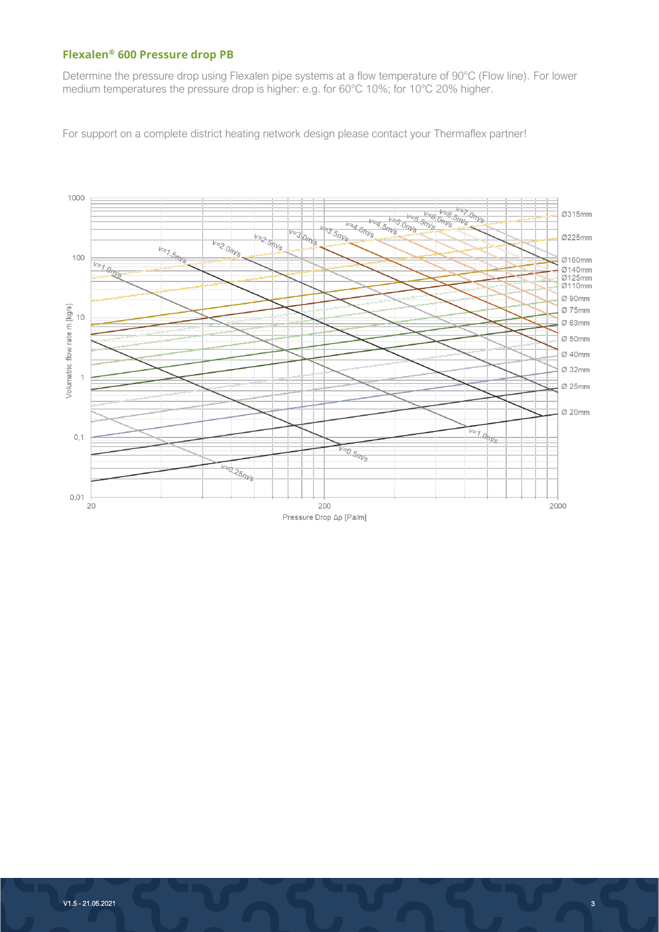#### **Flexalen® 600 Pressure drop PB**

Determine the pressure drop using Flexalen pipe systems at a flow temperature of 90°C (Flow line). For lower medium temperatures the pressure drop is higher: e.g. for 60°C 10%; for 10°C 20% higher.

For support on a complete district heating network design please contact your Thermaflex partner!